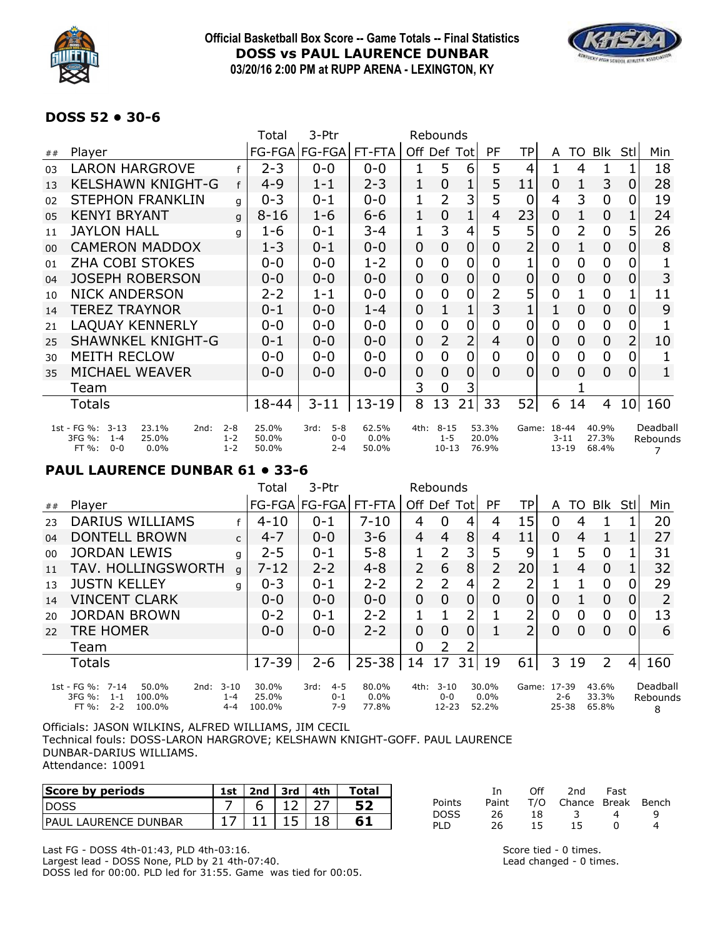

### **Official Basketball Box Score -- Game Totals -- Final Statistics DOSS vs PAUL LAURENCE DUNBAR 03/20/16 2:00 PM at RUPP ARENA - LEXINGTON, KY**



### **DOSS 52 • 30-6**

|                |                                                                                             |                               | Total                   | 3-Ptr                                 |                           | Rebounds |                                  |                |                         |                |                                      |    |                         |                 |                      |
|----------------|---------------------------------------------------------------------------------------------|-------------------------------|-------------------------|---------------------------------------|---------------------------|----------|----------------------------------|----------------|-------------------------|----------------|--------------------------------------|----|-------------------------|-----------------|----------------------|
| ##             | Player                                                                                      |                               |                         | FG-FGA FG-FGA                         | FT-FTA                    | Off Def  |                                  | <b>Tot</b>     | PF                      | <b>TP</b>      | A                                    | TO | Blk                     | Stl             | Min                  |
| 0 <sub>3</sub> | <b>LARON HARGROVE</b>                                                                       |                               | $2 - 3$                 | $0 - 0$                               | $0 - 0$                   |          | 5                                | 6              | 5                       | 4              |                                      | 4  |                         |                 | 18                   |
| 13             | <b>KELSHAWN KNIGHT-G</b>                                                                    | f                             | $4 - 9$                 | $1 - 1$                               | $2 - 3$                   | 1        | $\overline{0}$                   |                | 5                       | 11             | 0                                    |    | 3                       | 0               | 28                   |
| 02             | <b>STEPHON FRANKLIN</b>                                                                     | q                             | $0 - 3$                 | $0 - 1$                               | $0 - 0$                   | 1        | 2                                | 3              | 5                       | $\overline{0}$ | 4                                    | 3  | $\overline{0}$          | 0               | 19                   |
| 0 <sub>5</sub> | <b>KENYI BRYANT</b>                                                                         | q                             | $8 - 16$                | $1 - 6$                               | $6 - 6$                   | 1        | 0                                | 1              | 4                       | 23             | 0                                    |    | 0                       |                 | 24                   |
| 11             | <b>JAYLON HALL</b>                                                                          | q                             | 1-6                     | $0 - 1$                               | $3 - 4$                   | 1        | 3                                | 4              | 5                       | 5              | 0                                    | 2  | 0                       | 5               | 26                   |
| 0 <sub>0</sub> | <b>CAMERON MADDOX</b>                                                                       |                               | $1 - 3$                 | $0 - 1$                               | $0 - 0$                   | 0        | 0                                | 0              | 0                       | 2              | 0                                    |    | 0                       | 0               | 8                    |
| 01             | <b>ZHA COBI STOKES</b>                                                                      |                               | $0 - 0$                 | $0 - 0$                               | $1 - 2$                   | 0        | 0                                | 0              | 0                       |                | $\overline{0}$                       | 0  | 0                       | 0               |                      |
| 04             | <b>JOSEPH ROBERSON</b>                                                                      |                               | 0-0                     | $0 - 0$                               | $0 - 0$                   | 0        | 0                                | 0              | 0                       | 0              | 0                                    | 0  | 0                       | 0               | 3                    |
| 10             | <b>NICK ANDERSON</b>                                                                        |                               | $2 - 2$                 | $1 - 1$                               | $0 - 0$                   | 0        | 0                                | 0              | 2                       | 5              | 0                                    |    | 0                       |                 | 11                   |
| 14             | <b>TEREZ TRAYNOR</b>                                                                        |                               | $0 - 1$                 | $0 - 0$                               | $1 - 4$                   | 0        |                                  | 1              | 3                       |                | 1                                    | 0  | 0                       | 0               | 9                    |
| 21             | <b>LAQUAY KENNERLY</b>                                                                      |                               | 0-0                     | $0 - 0$                               | $0 - 0$                   | 0        | 0                                | 0              | 0                       | 0              | 0                                    | 0  | 0                       | 0               |                      |
| 25             | <b>SHAWNKEL KNIGHT-G</b>                                                                    |                               | 0-1                     | $0 - 0$                               | $0 - 0$                   | 0        | 2                                | $\overline{2}$ | 4                       | 0              | 0                                    | 0  | 0                       | $\overline{2}$  | 10                   |
| 30             | <b>MEITH RECLOW</b>                                                                         |                               | 0-0                     | $0 - 0$                               | $0 - 0$                   | 0        | 0                                | 0              | 0                       | 0              | 0                                    | 0  | 0                       | 0               |                      |
| 35             | MICHAEL WEAVER                                                                              |                               | 0-0                     | $0 - 0$                               | $0 - 0$                   | 0        | 0                                | 0              | 0                       | 0              | 0                                    | 0  | 0                       | 0               |                      |
|                | Team                                                                                        |                               |                         |                                       |                           | 3        | 0                                | 3              |                         |                |                                      |    |                         |                 |                      |
|                | Totals                                                                                      |                               | 18-44                   | $3 - 11$                              | $13 - 19$                 | 8        | 13                               | 21             | 33                      | 52             | 6                                    | 14 | 4                       | 10 <sup>1</sup> | 160                  |
|                | 1st - FG %: 3-13<br>23.1%<br>2nd:<br>3FG %:<br>25.0%<br>$1 - 4$<br>0.0%<br>FT %:<br>$0 - 0$ | $2 - 8$<br>$1 - 2$<br>$1 - 2$ | 25.0%<br>50.0%<br>50.0% | $5 - 8$<br>3rd:<br>$0 - 0$<br>$2 - 4$ | 62.5%<br>$0.0\%$<br>50.0% | 4th:     | $8 - 15$<br>$1 - 5$<br>$10 - 13$ |                | 53.3%<br>20.0%<br>76.9% |                | Game: 18-44<br>$3 - 11$<br>$13 - 19$ |    | 40.9%<br>27.3%<br>68.4% |                 | Deadball<br>Rebounds |

### **PAUL LAURENCE DUNBAR 61 • 33-6**

|    |                                                                                                                                 |              | Total                    | 3-Ptr                               | Rebounds                  |                |                                |                |                           |                 |                      |    |                         |      |                                 |
|----|---------------------------------------------------------------------------------------------------------------------------------|--------------|--------------------------|-------------------------------------|---------------------------|----------------|--------------------------------|----------------|---------------------------|-----------------|----------------------|----|-------------------------|------|---------------------------------|
| ## | Player                                                                                                                          |              |                          | FG-FGA FG-FGA                       | FT-FTA                    | Off Def        |                                | Totl           | <b>PF</b>                 | TP              | A                    | TO | <b>Blk</b>              | Stll | Min                             |
| 23 | <b>DARIUS WILLIAMS</b>                                                                                                          |              | $4 - 10$                 | $0 - 1$                             | $7 - 10$                  | 4              | 0                              | 4              | 4                         | 15              | 0                    |    |                         |      | 20                              |
| 04 | <b>DONTELL BROWN</b>                                                                                                            | $\mathsf{C}$ | $4 - 7$                  | $0 - 0$                             | 3-6                       | 4              | 4                              | 8              | 4                         | 11              | 0                    | 4  |                         |      | 27                              |
| 00 | <b>JORDAN LEWIS</b>                                                                                                             | g            | $2 - 5$                  | $0 - 1$                             | $5 - 8$                   |                | 2                              | $\overline{3}$ | 5                         | 9               |                      | 5  | 0                       |      | 31                              |
| 11 | TAV. HOLLINGSWORTH                                                                                                              | a            | $7 - 12$                 | $2 - 2$                             | $4 - 8$                   | $\overline{2}$ | 6                              | 8 <sup>1</sup> | 2                         | 20 <sub>l</sub> | 1.                   | 4  | 0                       |      | 32                              |
| 13 | <b>JUSTN KELLEY</b>                                                                                                             | q            | $0 - 3$                  | $0 - 1$                             | $2 - 2$                   | 2              | 2                              | 4              | 2                         | ว               |                      |    | $\overline{0}$          |      | 29                              |
| 14 | <b>VINCENT CLARK</b>                                                                                                            |              | $0 - 0$                  | $0 - 0$                             | $0 - 0$                   | 0              | $\Omega$                       | 0              | 0                         |                 | 0                    |    | 0                       |      |                                 |
| 20 | <b>JORDAN BROWN</b>                                                                                                             |              | $0 - 2$                  | $0 - 1$                             | $2 - 2$                   |                |                                | 2              |                           | า               | 0                    | 0  | 0                       |      | 13                              |
| 22 | <b>TRE HOMER</b>                                                                                                                |              | $0 - 0$                  | $0 - 0$                             | $2 - 2$                   | 0              | 0                              | 0              |                           | 2               | 0                    | 0  | 0                       |      | 6                               |
|    | Team                                                                                                                            |              |                          |                                     |                           | 0              | 2                              |                |                           |                 |                      |    |                         |      |                                 |
|    | Totals                                                                                                                          |              | $17 - 39$                | $2 - 6$                             | $25 - 38$                 | 14             | 17                             | 31             | 19                        | 61              | 3.                   | 19 | $\overline{2}$          | 4    | 160                             |
|    | 1st - FG %: 7-14<br>$3 - 10$<br>50.0%<br>2nd:<br>3FG %:<br>100.0%<br>$1 - 4$<br>$1 - 1$<br>$2 - 2$<br>100.0%<br>$FT\%$ :<br>4-4 |              | 30.0%<br>25.0%<br>100.0% | $4 - 5$<br>3rd:<br>$0 - 1$<br>$7-9$ | 80.0%<br>$0.0\%$<br>77.8% | 4th:           | $3 - 10$<br>$0-0$<br>$12 - 23$ |                | 30.0%<br>$0.0\%$<br>52.2% | Game: 17-39     | $2 - 6$<br>$25 - 38$ |    | 43.6%<br>33.3%<br>65.8% |      | Deadball<br>Rebounds<br>$\circ$ |

|  | FG %: 1-1 100.0% | 1-4 25.0%  | $0-1$ 0.0% | 0-0 0.0%    |             | 2-6 33.3% Rebour |
|--|------------------|------------|------------|-------------|-------------|------------------|
|  | FT %: 2-2 100.0% | 4-4 100.0% | 7-9 77.8%  | 12-23 52.2% | 25-38 65.8% | $\overline{R}$   |

Officials: JASON WILKINS, ALFRED WILLIAMS, JIM CECIL Technical fouls: DOSS-LARON HARGROVE; KELSHAWN KNIGHT-GOFF. PAUL LAURENCE DUNBAR-DARIUS WILLIAMS. Attendance: 10091

| Score by periods      | 1st | 2nd | 3rd | 4th | Total |
|-----------------------|-----|-----|-----|-----|-------|
| <b>IDOSS</b>          |     |     |     |     |       |
| IPAUL LAURENCE DUNBAR |     |     |     |     |       |

|        | Tn.   | ∩ff | 2nd                    | Fast        |   |
|--------|-------|-----|------------------------|-------------|---|
| Points | Paint |     | T/O Chance Break Bench |             |   |
| DOSS   | 26.   | 18. |                        | 4           | q |
| PLD    | 26    | 15. | 15                     | $^{\prime}$ | 4 |

Last FG - DOSS 4th-01:43, PLD 4th-03:16. Largest lead - DOSS None, PLD by 21 4th-07:40. DOSS led for 00:00. PLD led for 31:55. Game was tied for 00:05.

Score tied - 0 times. Lead changed - 0 times.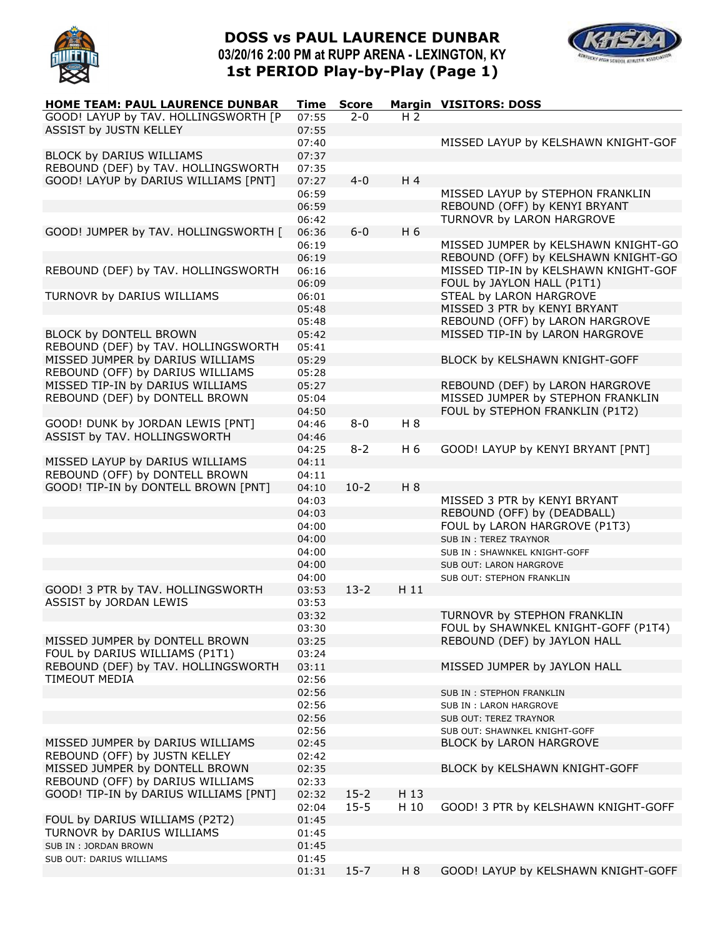

## **DOSS vs PAUL LAURENCE DUNBAR 03/20/16 2:00 PM at RUPP ARENA - LEXINGTON, KY 1st PERIOD Play-by-Play (Page 1)**



| HOME TEAM: PAUL LAURENCE DUNBAR       | Time  | <b>Score</b> |                | <b>Margin VISITORS: DOSS</b>         |
|---------------------------------------|-------|--------------|----------------|--------------------------------------|
| GOOD! LAYUP by TAV. HOLLINGSWORTH [P  | 07:55 | $2 - 0$      | H <sub>2</sub> |                                      |
| ASSIST by JUSTN KELLEY                | 07:55 |              |                |                                      |
|                                       | 07:40 |              |                | MISSED LAYUP by KELSHAWN KNIGHT-GOF  |
| BLOCK by DARIUS WILLIAMS              | 07:37 |              |                |                                      |
| REBOUND (DEF) by TAV. HOLLINGSWORTH   | 07:35 |              |                |                                      |
| GOOD! LAYUP by DARIUS WILLIAMS [PNT]  | 07:27 | $4 - 0$      | H 4            |                                      |
|                                       | 06:59 |              |                | MISSED LAYUP by STEPHON FRANKLIN     |
|                                       | 06:59 |              |                | REBOUND (OFF) by KENYI BRYANT        |
|                                       | 06:42 |              |                | TURNOVR by LARON HARGROVE            |
|                                       |       | $6 - 0$      | H 6            |                                      |
| GOOD! JUMPER by TAV. HOLLINGSWORTH [  | 06:36 |              |                |                                      |
|                                       | 06:19 |              |                | MISSED JUMPER by KELSHAWN KNIGHT-GO  |
|                                       | 06:19 |              |                | REBOUND (OFF) by KELSHAWN KNIGHT-GO  |
| REBOUND (DEF) by TAV. HOLLINGSWORTH   | 06:16 |              |                | MISSED TIP-IN by KELSHAWN KNIGHT-GOF |
|                                       | 06:09 |              |                | FOUL by JAYLON HALL (P1T1)           |
| TURNOVR by DARIUS WILLIAMS            | 06:01 |              |                | STEAL by LARON HARGROVE              |
|                                       | 05:48 |              |                | MISSED 3 PTR by KENYI BRYANT         |
|                                       | 05:48 |              |                | REBOUND (OFF) by LARON HARGROVE      |
| BLOCK by DONTELL BROWN                | 05:42 |              |                | MISSED TIP-IN by LARON HARGROVE      |
| REBOUND (DEF) by TAV. HOLLINGSWORTH   | 05:41 |              |                |                                      |
| MISSED JUMPER by DARIUS WILLIAMS      | 05:29 |              |                | BLOCK by KELSHAWN KNIGHT-GOFF        |
| REBOUND (OFF) by DARIUS WILLIAMS      | 05:28 |              |                |                                      |
| MISSED TIP-IN by DARIUS WILLIAMS      | 05:27 |              |                | REBOUND (DEF) by LARON HARGROVE      |
| REBOUND (DEF) by DONTELL BROWN        | 05:04 |              |                | MISSED JUMPER by STEPHON FRANKLIN    |
|                                       | 04:50 |              |                | FOUL by STEPHON FRANKLIN (P1T2)      |
| GOOD! DUNK by JORDAN LEWIS [PNT]      | 04:46 | $8 - 0$      | H 8            |                                      |
| ASSIST by TAV. HOLLINGSWORTH          | 04:46 |              |                |                                      |
|                                       | 04:25 | $8 - 2$      | H 6            | GOOD! LAYUP by KENYI BRYANT [PNT]    |
| MISSED LAYUP by DARIUS WILLIAMS       | 04:11 |              |                |                                      |
| REBOUND (OFF) by DONTELL BROWN        | 04:11 |              |                |                                      |
| GOOD! TIP-IN by DONTELL BROWN [PNT]   | 04:10 | $10-2$       | H 8            |                                      |
|                                       | 04:03 |              |                | MISSED 3 PTR by KENYI BRYANT         |
|                                       | 04:03 |              |                | REBOUND (OFF) by (DEADBALL)          |
|                                       |       |              |                |                                      |
|                                       | 04:00 |              |                | FOUL by LARON HARGROVE (P1T3)        |
|                                       | 04:00 |              |                | SUB IN: TEREZ TRAYNOR                |
|                                       | 04:00 |              |                | SUB IN: SHAWNKEL KNIGHT-GOFF         |
|                                       | 04:00 |              |                | SUB OUT: LARON HARGROVE              |
|                                       | 04:00 |              |                | SUB OUT: STEPHON FRANKLIN            |
| GOOD! 3 PTR by TAV. HOLLINGSWORTH     | 03:53 | $13 - 2$     | H 11           |                                      |
| ASSIST by JORDAN LEWIS                | 03:53 |              |                |                                      |
|                                       | 03:32 |              |                | TURNOVR by STEPHON FRANKLIN          |
|                                       | 03:30 |              |                | FOUL by SHAWNKEL KNIGHT-GOFF (P1T4)  |
| MISSED JUMPER by DONTELL BROWN        | 03:25 |              |                | REBOUND (DEF) by JAYLON HALL         |
| FOUL by DARIUS WILLIAMS (P1T1)        | 03:24 |              |                |                                      |
| REBOUND (DEF) by TAV. HOLLINGSWORTH   | 03:11 |              |                | MISSED JUMPER by JAYLON HALL         |
| TIMEOUT MEDIA                         | 02:56 |              |                |                                      |
|                                       | 02:56 |              |                | SUB IN: STEPHON FRANKLIN             |
|                                       | 02:56 |              |                | SUB IN : LARON HARGROVE              |
|                                       | 02:56 |              |                | SUB OUT: TEREZ TRAYNOR               |
|                                       | 02:56 |              |                | SUB OUT: SHAWNKEL KNIGHT-GOFF        |
| MISSED JUMPER by DARIUS WILLIAMS      | 02:45 |              |                | BLOCK by LARON HARGROVE              |
| REBOUND (OFF) by JUSTN KELLEY         | 02:42 |              |                |                                      |
| MISSED JUMPER by DONTELL BROWN        | 02:35 |              |                | BLOCK by KELSHAWN KNIGHT-GOFF        |
| REBOUND (OFF) by DARIUS WILLIAMS      | 02:33 |              |                |                                      |
| GOOD! TIP-IN by DARIUS WILLIAMS [PNT] | 02:32 | $15 - 2$     | H 13           |                                      |
|                                       | 02:04 | $15 - 5$     | H 10           | GOOD! 3 PTR by KELSHAWN KNIGHT-GOFF  |
| FOUL by DARIUS WILLIAMS (P2T2)        | 01:45 |              |                |                                      |
| TURNOVR by DARIUS WILLIAMS            | 01:45 |              |                |                                      |
| SUB IN : JORDAN BROWN                 | 01:45 |              |                |                                      |
| SUB OUT: DARIUS WILLIAMS              | 01:45 |              |                |                                      |
|                                       | 01:31 | $15 - 7$     | H 8            | GOOD! LAYUP by KELSHAWN KNIGHT-GOFF  |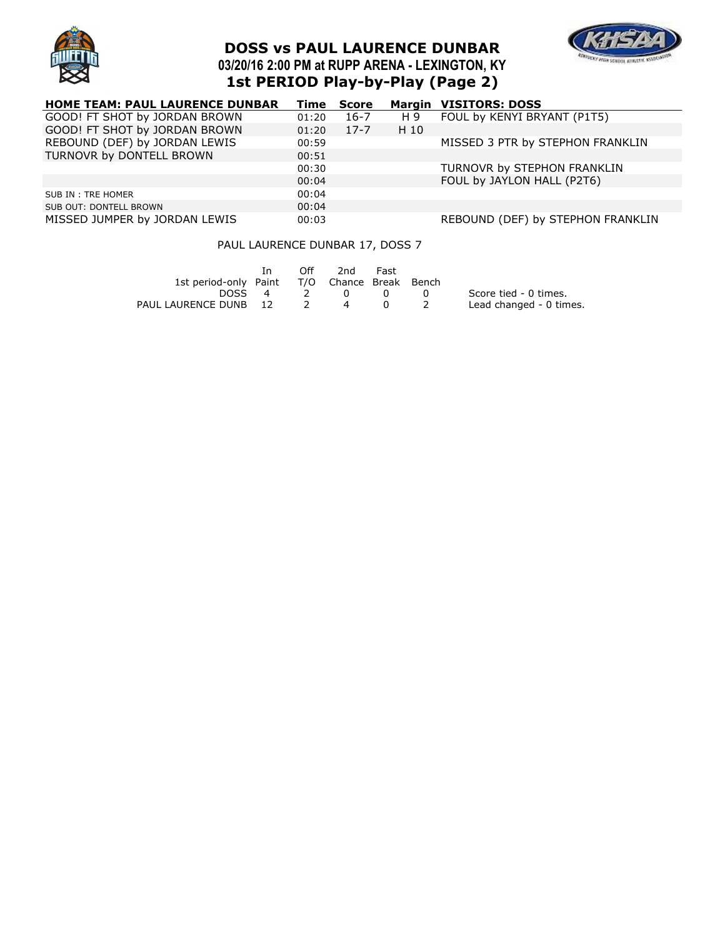

# **DOSS vs PAUL LAURENCE DUNBAR 03/20/16 2:00 PM at RUPP ARENA - LEXINGTON, KY 1st PERIOD Play-by-Play (Page 2)**



| <b>HOME TEAM: PAUL LAURENCE DUNBAR</b> | Time  | Score    |      | <b>Margin VISITORS: DOSS</b>      |
|----------------------------------------|-------|----------|------|-----------------------------------|
| GOOD! FT SHOT by JORDAN BROWN          | 01:20 | 16-7     | H 9  | FOUL by KENYI BRYANT (P1T5)       |
| GOOD! FT SHOT by JORDAN BROWN          | 01:20 | $17 - 7$ | H 10 |                                   |
| REBOUND (DEF) by JORDAN LEWIS          | 00:59 |          |      | MISSED 3 PTR by STEPHON FRANKLIN  |
| TURNOVR by DONTELL BROWN               | 00:51 |          |      |                                   |
|                                        | 00:30 |          |      | TURNOVR by STEPHON FRANKLIN       |
|                                        | 00:04 |          |      | FOUL by JAYLON HALL (P2T6)        |
| SUB IN: TRE HOMER                      | 00:04 |          |      |                                   |
| SUB OUT: DONTELL BROWN                 | 00:04 |          |      |                                   |
| MISSED JUMPER by JORDAN LEWIS          | 00:03 |          |      | REBOUND (DEF) by STEPHON FRANKLIN |

### PAUL LAURENCE DUNBAR 17, DOSS 7

|                                              | In. | Off. | 2nd            | Fast |     |                         |
|----------------------------------------------|-----|------|----------------|------|-----|-------------------------|
| 1st period-only Paint T/O Chance Break Bench |     |      |                |      |     |                         |
| DOSS 4                                       |     | -2   | $\overline{0}$ |      | - 0 | Score tied - 0 times.   |
| PAUL LAURENCE DUNB 12                        |     |      | $\overline{a}$ |      |     | Lead changed - 0 times. |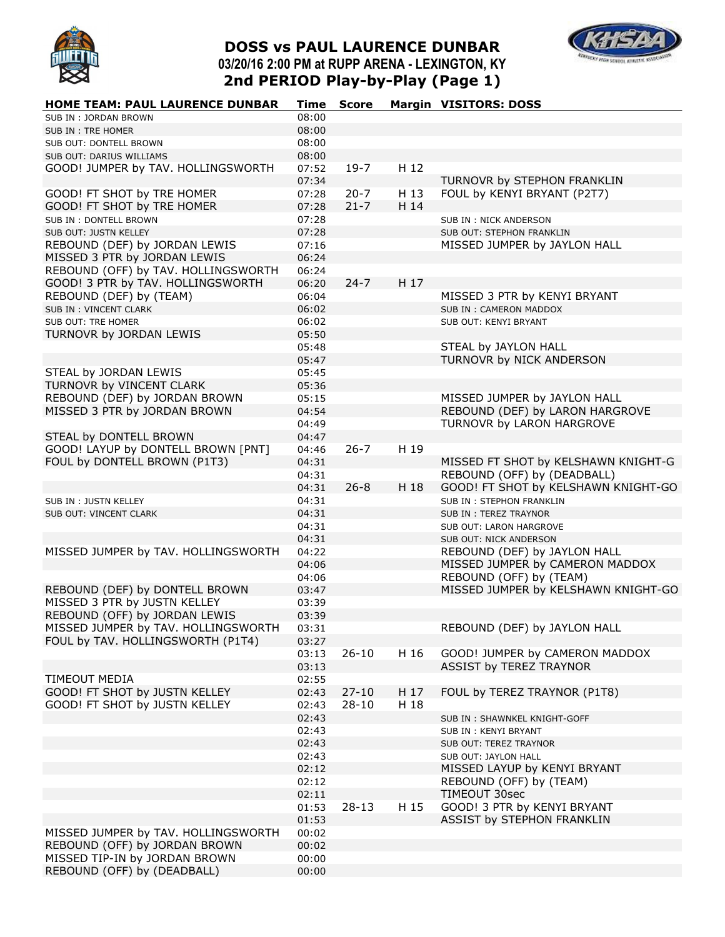

# **DOSS vs PAUL LAURENCE DUNBAR 03/20/16 2:00 PM at RUPP ARENA - LEXINGTON, KY 2nd PERIOD Play-by-Play (Page 1)**



| HOME TEAM: PAUL LAURENCE DUNBAR     | Time  | <b>Score</b> |      | <b>Margin VISITORS: DOSS</b>        |
|-------------------------------------|-------|--------------|------|-------------------------------------|
| SUB IN: JORDAN BROWN                | 08:00 |              |      |                                     |
| SUB IN : TRE HOMER                  | 08:00 |              |      |                                     |
| SUB OUT: DONTELL BROWN              | 08:00 |              |      |                                     |
| SUB OUT: DARIUS WILLIAMS            | 08:00 |              |      |                                     |
| GOOD! JUMPER by TAV. HOLLINGSWORTH  | 07:52 | $19-7$       | H 12 |                                     |
|                                     | 07:34 |              |      | TURNOVR by STEPHON FRANKLIN         |
| GOOD! FT SHOT by TRE HOMER          | 07:28 | $20 - 7$     | H 13 | FOUL by KENYI BRYANT (P2T7)         |
| GOOD! FT SHOT by TRE HOMER          | 07:28 | $21 - 7$     | H 14 |                                     |
| SUB IN: DONTELL BROWN               | 07:28 |              |      | SUB IN : NICK ANDERSON              |
| SUB OUT: JUSTN KELLEY               | 07:28 |              |      | SUB OUT: STEPHON FRANKLIN           |
| REBOUND (DEF) by JORDAN LEWIS       | 07:16 |              |      | MISSED JUMPER by JAYLON HALL        |
| MISSED 3 PTR by JORDAN LEWIS        | 06:24 |              |      |                                     |
| REBOUND (OFF) by TAV. HOLLINGSWORTH | 06:24 |              |      |                                     |
| GOOD! 3 PTR by TAV. HOLLINGSWORTH   | 06:20 | $24 - 7$     | H 17 |                                     |
| REBOUND (DEF) by (TEAM)             | 06:04 |              |      | MISSED 3 PTR by KENYI BRYANT        |
| SUB IN: VINCENT CLARK               | 06:02 |              |      | SUB IN: CAMERON MADDOX              |
| SUB OUT: TRE HOMER                  | 06:02 |              |      | SUB OUT: KENYI BRYANT               |
| TURNOVR by JORDAN LEWIS             | 05:50 |              |      |                                     |
|                                     | 05:48 |              |      | STEAL by JAYLON HALL                |
|                                     | 05:47 |              |      | TURNOVR by NICK ANDERSON            |
| STEAL by JORDAN LEWIS               | 05:45 |              |      |                                     |
| TURNOVR by VINCENT CLARK            | 05:36 |              |      |                                     |
| REBOUND (DEF) by JORDAN BROWN       | 05:15 |              |      | MISSED JUMPER by JAYLON HALL        |
| MISSED 3 PTR by JORDAN BROWN        | 04:54 |              |      | REBOUND (DEF) by LARON HARGROVE     |
|                                     | 04:49 |              |      | TURNOVR by LARON HARGROVE           |
| STEAL by DONTELL BROWN              | 04:47 |              |      |                                     |
| GOOD! LAYUP by DONTELL BROWN [PNT]  | 04:46 | $26 - 7$     | H 19 |                                     |
| FOUL by DONTELL BROWN (P1T3)        | 04:31 |              |      | MISSED FT SHOT by KELSHAWN KNIGHT-G |
|                                     | 04:31 |              |      | REBOUND (OFF) by (DEADBALL)         |
|                                     | 04:31 | $26 - 8$     | H 18 | GOOD! FT SHOT by KELSHAWN KNIGHT-GO |
| SUB IN : JUSTN KELLEY               | 04:31 |              |      | SUB IN: STEPHON FRANKLIN            |
| SUB OUT: VINCENT CLARK              | 04:31 |              |      | <b>SUB IN: TEREZ TRAYNOR</b>        |
|                                     | 04:31 |              |      | SUB OUT: LARON HARGROVE             |
|                                     | 04:31 |              |      | SUB OUT: NICK ANDERSON              |
| MISSED JUMPER by TAV. HOLLINGSWORTH | 04:22 |              |      | REBOUND (DEF) by JAYLON HALL        |
|                                     | 04:06 |              |      | MISSED JUMPER by CAMERON MADDOX     |
|                                     | 04:06 |              |      | REBOUND (OFF) by (TEAM)             |
| REBOUND (DEF) by DONTELL BROWN      | 03:47 |              |      | MISSED JUMPER by KELSHAWN KNIGHT-GO |
| MISSED 3 PTR by JUSTN KELLEY        | 03:39 |              |      |                                     |
| REBOUND (OFF) by JORDAN LEWIS       | 03:39 |              |      |                                     |
| MISSED JUMPER by TAV. HOLLINGSWORTH | 03:31 |              |      | REBOUND (DEF) by JAYLON HALL        |
| FOUL by TAV. HOLLINGSWORTH (P1T4)   | 03:27 |              |      |                                     |
|                                     | 03:13 | $26 - 10$    | H 16 | GOOD! JUMPER by CAMERON MADDOX      |
|                                     | 03:13 |              |      | ASSIST by TEREZ TRAYNOR             |
| TIMEOUT MEDIA                       | 02:55 |              |      |                                     |
| GOOD! FT SHOT by JUSTN KELLEY       | 02:43 | $27 - 10$    | H 17 | FOUL by TEREZ TRAYNOR (P1T8)        |
| GOOD! FT SHOT by JUSTN KELLEY       | 02:43 | $28 - 10$    | H 18 |                                     |
|                                     | 02:43 |              |      | SUB IN: SHAWNKEL KNIGHT-GOFF        |
|                                     | 02:43 |              |      | SUB IN: KENYI BRYANT                |
|                                     | 02:43 |              |      | SUB OUT: TEREZ TRAYNOR              |
|                                     | 02:43 |              |      | SUB OUT: JAYLON HALL                |
|                                     | 02:12 |              |      | MISSED LAYUP by KENYI BRYANT        |
|                                     | 02:12 |              |      | REBOUND (OFF) by (TEAM)             |
|                                     | 02:11 |              |      | TIMEOUT 30sec                       |
|                                     | 01:53 | $28 - 13$    | H 15 | GOOD! 3 PTR by KENYI BRYANT         |
|                                     | 01:53 |              |      | ASSIST by STEPHON FRANKLIN          |
| MISSED JUMPER by TAV. HOLLINGSWORTH | 00:02 |              |      |                                     |
| REBOUND (OFF) by JORDAN BROWN       | 00:02 |              |      |                                     |
| MISSED TIP-IN by JORDAN BROWN       | 00:00 |              |      |                                     |
| REBOUND (OFF) by (DEADBALL)         | 00:00 |              |      |                                     |
|                                     |       |              |      |                                     |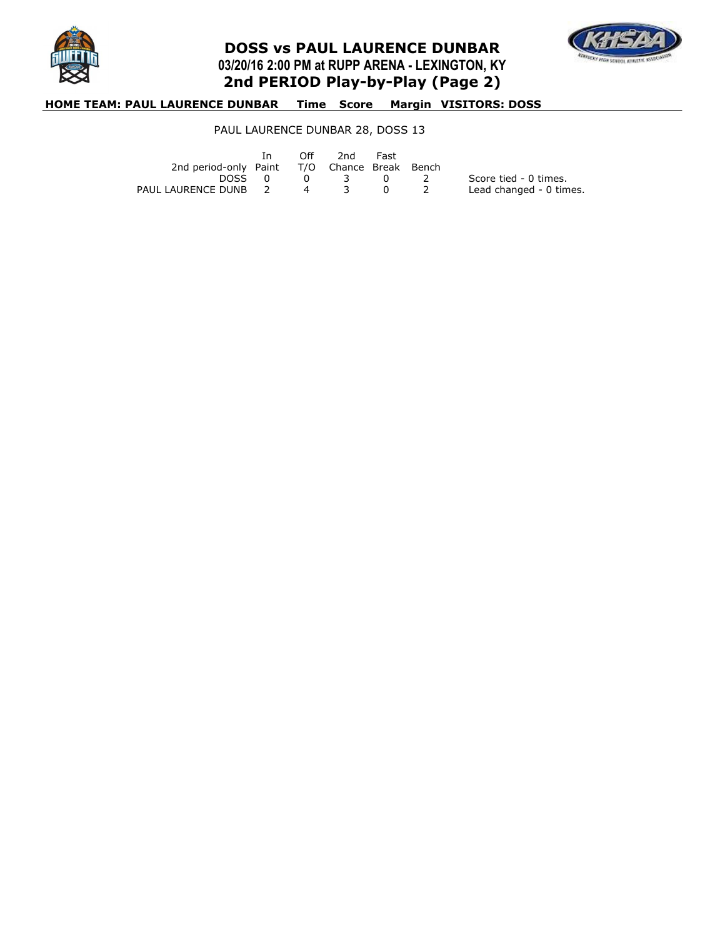

## **DOSS vs PAUL LAURENCE DUNBAR 03/20/16 2:00 PM at RUPP ARENA - LEXINGTON, KY 2nd PERIOD Play-by-Play (Page 2)**



### **HOME TEAM: PAUL LAURENCE DUNBAR Time Score Margin VISITORS: DOSS**

### PAUL LAURENCE DUNBAR 28, DOSS 13

|                                              | In In |                | Off 2nd | Fast |                         |
|----------------------------------------------|-------|----------------|---------|------|-------------------------|
| 2nd period-only Paint T/O Chance Break Bench |       |                |         |      |                         |
| DOSS 0                                       |       | $\overline{0}$ | 3 0 2   |      | Score tied - 0 times.   |
| PAUL LAURENCE DUNB 2                         |       | $\sim$ 4       |         |      | Lead changed - 0 times. |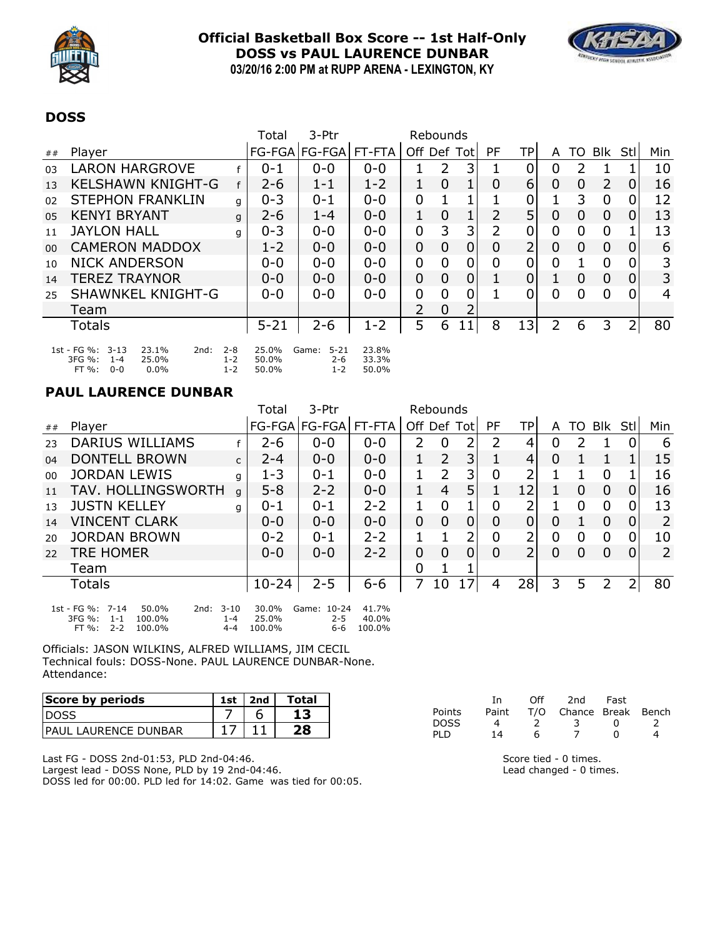

## **Official Basketball Box Score -- 1st Half-Only DOSS vs PAUL LAURENCE DUNBAR 03/20/16 2:00 PM at RUPP ARENA - LEXINGTON, KY**



### **DOSS**

|        |                                                                                                   |                               | Total                   | 3-Ptr                                   |                         | Rebounds       |                |                |                |    |             |                |                |              |     |
|--------|---------------------------------------------------------------------------------------------------|-------------------------------|-------------------------|-----------------------------------------|-------------------------|----------------|----------------|----------------|----------------|----|-------------|----------------|----------------|--------------|-----|
| ##     | Player                                                                                            |                               |                         | FG-FGA FG-FGA FT-FTA                    |                         | Off            | Def            | Totl           | PF             | TP | A           | TO.            | <b>Blk</b>     | Stl          | Min |
| 03     | <b>LARON HARGROVE</b>                                                                             |                               | $0 - 1$                 | $0 - 0$                                 | $0 - 0$                 | 1              | $\overline{2}$ | 3              |                | 0  | 0           | 2              |                |              | 10  |
| 13     | <b>KELSHAWN KNIGHT-G</b>                                                                          | f                             | $2 - 6$                 | $1 - 1$                                 | $1 - 2$                 | 1              | $\overline{0}$ |                | 0              | 6  | 0           | 0              | 2              | 0            | 16  |
| 02     | <b>STEPHON FRANKLIN</b>                                                                           | q                             | $0 - 3$                 | $0 - 1$                                 | $0 - 0$                 | $\overline{0}$ | 1              | 1              |                | 0  |             | 3              | $\Omega$       | 0            | 12  |
| 05     | <b>KENYI BRYANT</b>                                                                               | q                             | $2 - 6$                 | $1 - 4$                                 | $0 - 0$                 | 1              | $\overline{0}$ | 1              | 2              | 5  | 0           | $\overline{0}$ | $\Omega$       | $\mathbf{0}$ | 13  |
| 11     | <b>JAYLON HALL</b>                                                                                | q                             | $0 - 3$                 | $0 - 0$                                 | $0 - 0$                 | 0              | 3              | 3              | 2              | 0  | 0           | 0              | 0              |              | 13  |
| $00\,$ | <b>CAMERON MADDOX</b>                                                                             |                               | $1 - 2$                 | $0 - 0$                                 | $0 - 0$                 | $\mathbf 0$    | $\overline{0}$ | 0              | $\overline{0}$ | 2  | $\mathbf 0$ | 0              | $\overline{0}$ | 0            | 6   |
| 10     | <b>NICK ANDERSON</b>                                                                              |                               | $0 - 0$                 | $0 - 0$                                 | $0 - 0$                 | $\overline{0}$ | 0              | 0              | 0              | 0  | 0           | 1              | $\Omega$       | 0            | 3   |
| 14     | <b>TEREZ TRAYNOR</b>                                                                              |                               | $0 - 0$                 | $0 - 0$                                 | $0 - 0$                 | $\mathbf 0$    | $\overline{0}$ | $\overline{0}$ |                | 0  |             | 0              | $\Omega$       | 0            | 3   |
| 25     | <b>SHAWNKEL KNIGHT-G</b>                                                                          |                               | $0 - 0$                 | $0 - 0$                                 | $0 - 0$                 | $\overline{0}$ | 0              | 0              |                | 0  | 0           | 0              | 0              | 0            | 4   |
|        | Team                                                                                              |                               |                         |                                         |                         | 2              | 0              | າ              |                |    |             |                |                |              |     |
|        | Totals                                                                                            |                               | $5 - 21$                | $2 - 6$                                 | $1 - 2$                 | 5              | 6              | 11             | 8              | 13 | 2           | 6              | 3              | 2            | 80  |
|        | 1st - FG %: 3-13<br>23.1%<br>2nd:<br>3FG %:<br>25.0%<br>$1 - 4$<br>$FT\%$ :<br>$0.0\%$<br>$0 - 0$ | $2 - 8$<br>$1 - 2$<br>$1 - 2$ | 25.0%<br>50.0%<br>50.0% | $5 - 21$<br>Game:<br>$2 - 6$<br>$1 - 2$ | 23.8%<br>33.3%<br>50.0% |                |                |                |                |    |             |                |                |              |     |

### **PAUL LAURENCE DUNBAR**

|    |                                                                                                                                  |              | Total                    | 3-Ptr                         | Rebounds                 |             |                |    |          |     |          |               |             |                |     |
|----|----------------------------------------------------------------------------------------------------------------------------------|--------------|--------------------------|-------------------------------|--------------------------|-------------|----------------|----|----------|-----|----------|---------------|-------------|----------------|-----|
| ## | Player                                                                                                                           |              |                          | FG-FGA FG-FGA FT-FTA          |                          | Off Def Tot |                |    | PF       | TPI | A        |               | TO Blk      | -Stl           | Min |
| 23 | <b>DARIUS WILLIAMS</b>                                                                                                           |              | $2 - 6$                  | $0 - 0$                       | $0 - 0$                  | 2           | 0              | 2  | 2        | 4   | 0        | $\mathcal{P}$ |             | 0              | 6   |
| 04 | <b>DONTELL BROWN</b>                                                                                                             | $\mathsf{C}$ | $2 - 4$                  | $0 - 0$                       | $0 - 0$                  | 1           | $\overline{2}$ | 3  |          | 4   | $\Omega$ |               |             |                | 15  |
| 00 | <b>JORDAN LEWIS</b>                                                                                                              | g            | $1 - 3$                  | $0 - 1$                       | $0 - 0$                  | 1           | 2              | 3  | 0        | 2   |          |               | 0           |                | 16  |
| 11 | TAV. HOLLINGSWORTH                                                                                                               | a            | $5 - 8$                  | $2 - 2$                       | $0 - 0$                  | $\mathbf 1$ | 4              | 5  | 1        | 12  |          | 0             | 0           | 0              | 16  |
| 13 | <b>JUSTN KELLEY</b>                                                                                                              | q            | $0 - 1$                  | $0 - 1$                       | $2 - 2$                  |             | $\overline{0}$ | 1  | 0        | າ   |          | 0             | 0           | 0              | 13  |
| 14 | <b>VINCENT CLARK</b>                                                                                                             |              | $0 - 0$                  | $0 - 0$                       | $0 - 0$                  | $\mathbf 0$ | 0              | 0  | $\Omega$ | 0   | 0        | 1             | 0           | $\overline{0}$ | 2   |
| 20 | <b>JORDAN BROWN</b>                                                                                                              |              | $0 - 2$                  | $0 - 1$                       | $2 - 2$                  | 1           |                | 2  | 0        | 2   | 0        | $\mathbf 0$   | $\mathbf 0$ | 0              | 10  |
| 22 | <b>TRE HOMER</b>                                                                                                                 |              | $0 - 0$                  | $0 - 0$                       | $2 - 2$                  | 0           | $\Omega$       | 0  | 0        | 2   | 0        | $\Omega$      | $\Omega$    | 0              | 2   |
|    | Team                                                                                                                             |              |                          |                               |                          | 0           |                |    |          |     |          |               |             |                |     |
|    | Totals                                                                                                                           |              | $10 - 24$                | $2 - 5$                       | $6 - 6$                  | 7           | 10             | 17 | 4        | 28  | 3        | 5             | 2           | 2              | 80  |
|    | 1st - FG %: 7-14<br>$3 - 10$<br>50.0%<br>2nd:<br>3FG %:<br>100.0%<br>$1 - 4$<br>$1 - 1$<br>FT %:<br>$2 - 2$<br>100.0%<br>$4 - 4$ |              | 30.0%<br>25.0%<br>100.0% | Game: 10-24<br>$2 - 5$<br>6-6 | 41.7%<br>40.0%<br>100.0% |             |                |    |          |     |          |               |             |                |     |

Officials: JASON WILKINS, ALFRED WILLIAMS, JIM CECIL Technical fouls: DOSS-None. PAUL LAURENCE DUNBAR-None. Attendance:

| Score by periods             | 1st | 2nd | Total |
|------------------------------|-----|-----|-------|
| <b>IDOSS</b>                 |     |     |       |
| <b>IPAUL LAURENCE DUNBAR</b> |     |     | 28    |

Last FG - DOSS 2nd-01:53, PLD 2nd-04:46. Largest lead - DOSS None, PLD by 19 2nd-04:46. DOSS led for 00:00. PLD led for 14:02. Game was tied for 00:05.

|        | Ιn.   | Off | 2nd                    | Fast       |   |
|--------|-------|-----|------------------------|------------|---|
| Points | Paint |     | T/O Chance Break Bench |            |   |
| DOSS   |       |     |                        | $^{\circ}$ |   |
| PLD    | 14    |     |                        |            | Δ |

Score tied - 0 times. Lead changed - 0 times.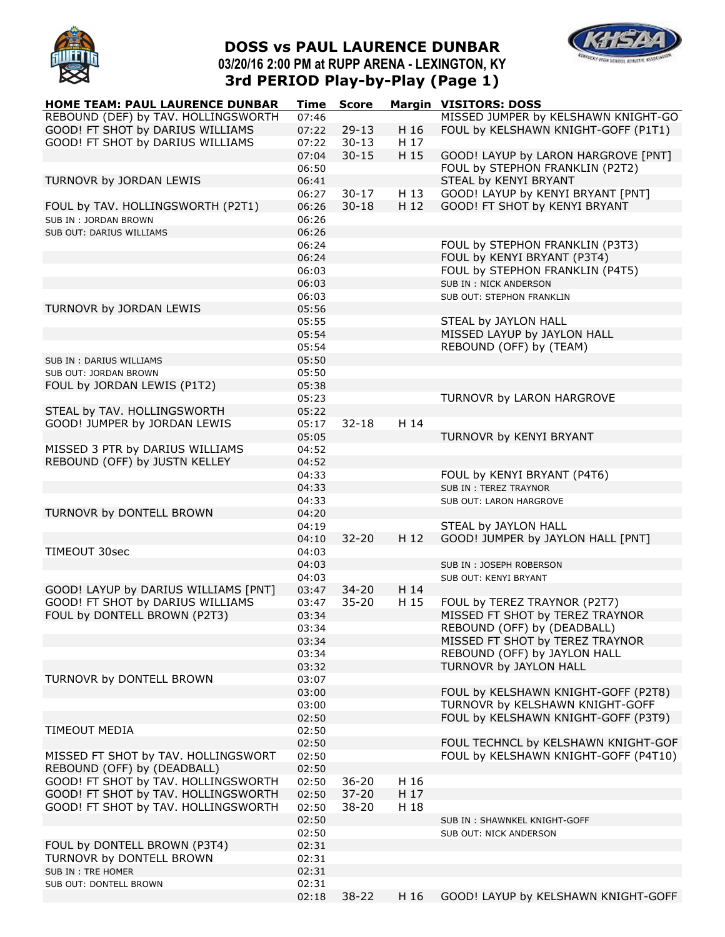

# **DOSS vs PAUL LAURENCE DUNBAR 03/20/16 2:00 PM at RUPP ARENA - LEXINGTON, KY 3rd PERIOD Play-by-Play (Page 1)**



| <b>HOME TEAM: PAUL LAURENCE DUNBAR</b> | Time  | <b>Score</b> |      | <b>Margin VISITORS: DOSS</b>         |
|----------------------------------------|-------|--------------|------|--------------------------------------|
| REBOUND (DEF) by TAV. HOLLINGSWORTH    | 07:46 |              |      | MISSED JUMPER by KELSHAWN KNIGHT-GO  |
| GOOD! FT SHOT by DARIUS WILLIAMS       | 07:22 | $29-13$      | H 16 | FOUL by KELSHAWN KNIGHT-GOFF (P1T1)  |
| GOOD! FT SHOT by DARIUS WILLIAMS       | 07:22 | $30 - 13$    | H 17 |                                      |
|                                        | 07:04 | $30 - 15$    | H 15 | GOOD! LAYUP by LARON HARGROVE [PNT]  |
|                                        | 06:50 |              |      | FOUL by STEPHON FRANKLIN (P2T2)      |
| TURNOVR by JORDAN LEWIS                | 06:41 |              |      | STEAL by KENYI BRYANT                |
|                                        | 06:27 | $30 - 17$    | H 13 | GOOD! LAYUP by KENYI BRYANT [PNT]    |
| FOUL by TAV. HOLLINGSWORTH (P2T1)      | 06:26 | $30 - 18$    | H 12 | GOOD! FT SHOT by KENYI BRYANT        |
| SUB IN: JORDAN BROWN                   | 06:26 |              |      |                                      |
| SUB OUT: DARIUS WILLIAMS               | 06:26 |              |      |                                      |
|                                        | 06:24 |              |      | FOUL by STEPHON FRANKLIN (P3T3)      |
|                                        | 06:24 |              |      | FOUL by KENYI BRYANT (P3T4)          |
|                                        | 06:03 |              |      | FOUL by STEPHON FRANKLIN (P4T5)      |
|                                        | 06:03 |              |      | SUB IN : NICK ANDERSON               |
|                                        | 06:03 |              |      | SUB OUT: STEPHON FRANKLIN            |
| TURNOVR by JORDAN LEWIS                | 05:56 |              |      |                                      |
|                                        | 05:55 |              |      | STEAL by JAYLON HALL                 |
|                                        | 05:54 |              |      | MISSED LAYUP by JAYLON HALL          |
|                                        | 05:54 |              |      | REBOUND (OFF) by (TEAM)              |
| SUB IN : DARIUS WILLIAMS               | 05:50 |              |      |                                      |
|                                        | 05:50 |              |      |                                      |
| SUB OUT: JORDAN BROWN                  | 05:38 |              |      |                                      |
| FOUL by JORDAN LEWIS (P1T2)            |       |              |      | TURNOVR by LARON HARGROVE            |
|                                        | 05:23 |              |      |                                      |
| STEAL by TAV. HOLLINGSWORTH            | 05:22 |              | H 14 |                                      |
| GOOD! JUMPER by JORDAN LEWIS           | 05:17 | $32 - 18$    |      |                                      |
|                                        | 05:05 |              |      | TURNOVR by KENYI BRYANT              |
| MISSED 3 PTR by DARIUS WILLIAMS        | 04:52 |              |      |                                      |
| REBOUND (OFF) by JUSTN KELLEY          | 04:52 |              |      |                                      |
|                                        | 04:33 |              |      | FOUL by KENYI BRYANT (P4T6)          |
|                                        | 04:33 |              |      | <b>SUB IN: TEREZ TRAYNOR</b>         |
|                                        | 04:33 |              |      | SUB OUT: LARON HARGROVE              |
| TURNOVR by DONTELL BROWN               | 04:20 |              |      |                                      |
|                                        | 04:19 |              |      | STEAL by JAYLON HALL                 |
|                                        | 04:10 | $32 - 20$    | H 12 | GOOD! JUMPER by JAYLON HALL [PNT]    |
| TIMEOUT 30sec                          | 04:03 |              |      |                                      |
|                                        | 04:03 |              |      | SUB IN: JOSEPH ROBERSON              |
|                                        | 04:03 |              |      | SUB OUT: KENYI BRYANT                |
| GOOD! LAYUP by DARIUS WILLIAMS [PNT]   | 03:47 | $34 - 20$    | H 14 |                                      |
| GOOD! FT SHOT by DARIUS WILLIAMS       | 03:47 | $35 - 20$    | H 15 | FOUL by TEREZ TRAYNOR (P2T7)         |
| FOUL by DONTELL BROWN (P2T3)           | 03:34 |              |      | MISSED FT SHOT by TEREZ TRAYNOR      |
|                                        | 03:34 |              |      | REBOUND (OFF) by (DEADBALL)          |
|                                        | 03:34 |              |      | MISSED FT SHOT by TEREZ TRAYNOR      |
|                                        | 03:34 |              |      | REBOUND (OFF) by JAYLON HALL         |
|                                        | 03:32 |              |      | TURNOVR by JAYLON HALL               |
| TURNOVR by DONTELL BROWN               | 03:07 |              |      |                                      |
|                                        | 03:00 |              |      | FOUL by KELSHAWN KNIGHT-GOFF (P2T8)  |
|                                        | 03:00 |              |      | TURNOVR by KELSHAWN KNIGHT-GOFF      |
|                                        | 02:50 |              |      | FOUL by KELSHAWN KNIGHT-GOFF (P3T9)  |
| <b>TIMEOUT MEDIA</b>                   | 02:50 |              |      |                                      |
|                                        | 02:50 |              |      | FOUL TECHNCL by KELSHAWN KNIGHT-GOF  |
| MISSED FT SHOT by TAV. HOLLINGSWORT    | 02:50 |              |      | FOUL by KELSHAWN KNIGHT-GOFF (P4T10) |
| REBOUND (OFF) by (DEADBALL)            | 02:50 |              |      |                                      |
| GOOD! FT SHOT by TAV. HOLLINGSWORTH    | 02:50 | $36 - 20$    | H 16 |                                      |
| GOOD! FT SHOT by TAV. HOLLINGSWORTH    | 02:50 | $37 - 20$    | H 17 |                                      |
| GOOD! FT SHOT by TAV. HOLLINGSWORTH    | 02:50 | $38 - 20$    | H 18 |                                      |
|                                        | 02:50 |              |      | SUB IN: SHAWNKEL KNIGHT-GOFF         |
|                                        | 02:50 |              |      | SUB OUT: NICK ANDERSON               |
| FOUL by DONTELL BROWN (P3T4)           | 02:31 |              |      |                                      |
| TURNOVR by DONTELL BROWN               | 02:31 |              |      |                                      |
| SUB IN : TRE HOMER                     | 02:31 |              |      |                                      |
| SUB OUT: DONTELL BROWN                 | 02:31 |              |      |                                      |
|                                        | 02:18 | $38 - 22$    | H 16 | GOOD! LAYUP by KELSHAWN KNIGHT-GOFF  |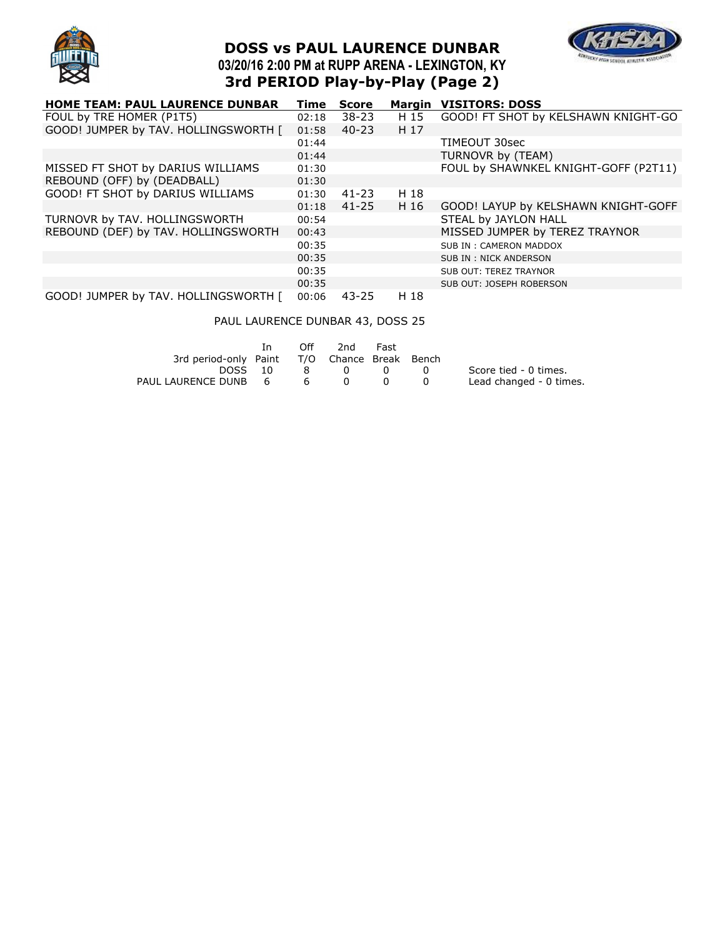

# **DOSS vs PAUL LAURENCE DUNBAR 03/20/16 2:00 PM at RUPP ARENA - LEXINGTON, KY 3rd PERIOD Play-by-Play (Page 2)**



| <b>HOME TEAM: PAUL LAURENCE DUNBAR</b> | Time  | <b>Score</b> | Margin | <b>VISITORS: DOSS</b>                |
|----------------------------------------|-------|--------------|--------|--------------------------------------|
| FOUL by TRE HOMER (P1T5)               | 02:18 | $38 - 23$    | H 15   | GOOD! FT SHOT by KELSHAWN KNIGHT-GO  |
| GOOD! JUMPER by TAV. HOLLINGSWORTH [   | 01:58 | $40 - 23$    | H 17   |                                      |
|                                        | 01:44 |              |        | TIMEOUT 30sec                        |
|                                        | 01:44 |              |        | TURNOVR by (TEAM)                    |
| MISSED FT SHOT by DARIUS WILLIAMS      | 01:30 |              |        | FOUL by SHAWNKEL KNIGHT-GOFF (P2T11) |
| REBOUND (OFF) by (DEADBALL)            | 01:30 |              |        |                                      |
| GOOD! FT SHOT by DARIUS WILLIAMS       | 01:30 | 41-23        | H 18   |                                      |
|                                        | 01:18 | $41 - 25$    | H 16   | GOOD! LAYUP by KELSHAWN KNIGHT-GOFF  |
| TURNOVR by TAV. HOLLINGSWORTH          | 00:54 |              |        | STEAL by JAYLON HALL                 |
| REBOUND (DEF) by TAV. HOLLINGSWORTH    | 00:43 |              |        | MISSED JUMPER by TEREZ TRAYNOR       |
|                                        | 00:35 |              |        | SUB IN: CAMERON MADDOX               |
|                                        | 00:35 |              |        | SUB IN: NICK ANDERSON                |
|                                        | 00:35 |              |        | SUB OUT: TEREZ TRAYNOR               |
|                                        | 00:35 |              |        | SUB OUT: JOSEPH ROBERSON             |
| GOOD! JUMPER by TAV. HOLLINGSWORTH [   | 00:06 | $43 - 25$    | H 18   |                                      |

### PAUL LAURENCE DUNBAR 43, DOSS 25

|                                              | Off | 2nd         | Fast |                  |                         |
|----------------------------------------------|-----|-------------|------|------------------|-------------------------|
| 3rd period-only Paint T/O Chance Break Bench |     |             |      |                  |                         |
| DOSS 10                                      |     | $8 \quad 0$ | - 0  | $\left( \right)$ | Score tied - 0 times.   |
| PAUL LAURENCE DUNB 6                         | 6   |             |      |                  | Lead changed - 0 times. |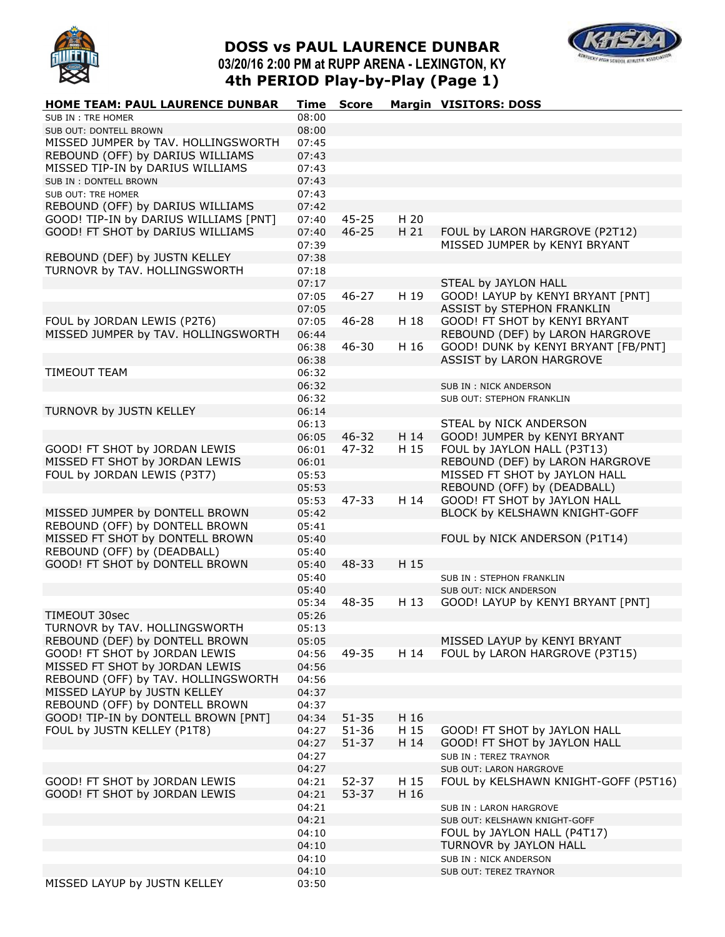

# **DOSS vs PAUL LAURENCE DUNBAR 03/20/16 2:00 PM at RUPP ARENA - LEXINGTON, KY 4th PERIOD Play-by-Play (Page 1)**



| HOME TEAM: PAUL LAURENCE DUNBAR       | <b>Time</b> | <b>Score</b> |      | <b>Margin VISITORS: DOSS</b>         |
|---------------------------------------|-------------|--------------|------|--------------------------------------|
| SUB IN: TRE HOMER                     | 08:00       |              |      |                                      |
| SUB OUT: DONTELL BROWN                | 08:00       |              |      |                                      |
| MISSED JUMPER by TAV. HOLLINGSWORTH   | 07:45       |              |      |                                      |
| REBOUND (OFF) by DARIUS WILLIAMS      | 07:43       |              |      |                                      |
| MISSED TIP-IN by DARIUS WILLIAMS      | 07:43       |              |      |                                      |
| SUB IN: DONTELL BROWN                 | 07:43       |              |      |                                      |
| SUB OUT: TRE HOMER                    | 07:43       |              |      |                                      |
| REBOUND (OFF) by DARIUS WILLIAMS      | 07:42       |              |      |                                      |
| GOOD! TIP-IN by DARIUS WILLIAMS [PNT] | 07:40       | $45 - 25$    | H 20 |                                      |
| GOOD! FT SHOT by DARIUS WILLIAMS      | 07:40       | $46 - 25$    | H 21 | FOUL by LARON HARGROVE (P2T12)       |
|                                       | 07:39       |              |      | MISSED JUMPER by KENYI BRYANT        |
| REBOUND (DEF) by JUSTN KELLEY         | 07:38       |              |      |                                      |
| TURNOVR by TAV. HOLLINGSWORTH         | 07:18       |              |      |                                      |
|                                       | 07:17       |              |      | STEAL by JAYLON HALL                 |
|                                       | 07:05       | $46 - 27$    | H 19 | GOOD! LAYUP by KENYI BRYANT [PNT]    |
|                                       | 07:05       |              |      | ASSIST by STEPHON FRANKLIN           |
| FOUL by JORDAN LEWIS (P2T6)           | 07:05       | $46 - 28$    | H 18 | GOOD! FT SHOT by KENYI BRYANT        |
| MISSED JUMPER by TAV. HOLLINGSWORTH   | 06:44       |              |      | REBOUND (DEF) by LARON HARGROVE      |
|                                       | 06:38       | 46-30        | H 16 | GOOD! DUNK by KENYI BRYANT [FB/PNT]  |
|                                       | 06:38       |              |      | ASSIST by LARON HARGROVE             |
| TIMEOUT TEAM                          | 06:32       |              |      |                                      |
|                                       | 06:32       |              |      | SUB IN : NICK ANDERSON               |
|                                       | 06:32       |              |      | SUB OUT: STEPHON FRANKLIN            |
| TURNOVR by JUSTN KELLEY               | 06:14       |              |      |                                      |
|                                       | 06:13       |              |      | STEAL by NICK ANDERSON               |
|                                       | 06:05       | $46 - 32$    | H 14 | GOOD! JUMPER by KENYI BRYANT         |
| GOOD! FT SHOT by JORDAN LEWIS         | 06:01       | 47-32        | H 15 | FOUL by JAYLON HALL (P3T13)          |
| MISSED FT SHOT by JORDAN LEWIS        | 06:01       |              |      | REBOUND (DEF) by LARON HARGROVE      |
| FOUL by JORDAN LEWIS (P3T7)           | 05:53       |              |      | MISSED FT SHOT by JAYLON HALL        |
|                                       | 05:53       |              |      | REBOUND (OFF) by (DEADBALL)          |
|                                       | 05:53       | 47-33        | H 14 | GOOD! FT SHOT by JAYLON HALL         |
| MISSED JUMPER by DONTELL BROWN        | 05:42       |              |      | BLOCK by KELSHAWN KNIGHT-GOFF        |
| REBOUND (OFF) by DONTELL BROWN        | 05:41       |              |      |                                      |
| MISSED FT SHOT by DONTELL BROWN       | 05:40       |              |      | FOUL by NICK ANDERSON (P1T14)        |
| REBOUND (OFF) by (DEADBALL)           | 05:40       |              |      |                                      |
| GOOD! FT SHOT by DONTELL BROWN        | 05:40       | 48-33        | H 15 |                                      |
|                                       | 05:40       |              |      | SUB IN: STEPHON FRANKLIN             |
|                                       | 05:40       |              |      | SUB OUT: NICK ANDERSON               |
|                                       | 05:34       | 48-35        | H 13 | GOOD! LAYUP by KENYI BRYANT [PNT]    |
| TIMEOUT 30sec                         | 05:26       |              |      |                                      |
| TURNOVR by TAV. HOLLINGSWORTH         | 05:13       |              |      |                                      |
| REBOUND (DEF) by DONTELL BROWN        | 05:05       |              |      | MISSED LAYUP by KENYI BRYANT         |
| GOOD! FT SHOT by JORDAN LEWIS         | 04:56       | 49-35        | H 14 | FOUL by LARON HARGROVE (P3T15)       |
| MISSED FT SHOT by JORDAN LEWIS        | 04:56       |              |      |                                      |
| REBOUND (OFF) by TAV. HOLLINGSWORTH   | 04:56       |              |      |                                      |
| MISSED LAYUP by JUSTN KELLEY          | 04:37       |              |      |                                      |
| REBOUND (OFF) by DONTELL BROWN        | 04:37       |              |      |                                      |
| GOOD! TIP-IN by DONTELL BROWN [PNT]   | 04:34       | $51 - 35$    | H 16 |                                      |
| FOUL by JUSTN KELLEY (P1T8)           | 04:27       | $51 - 36$    | H 15 | GOOD! FT SHOT by JAYLON HALL         |
|                                       | 04:27       | $51 - 37$    | H 14 | GOOD! FT SHOT by JAYLON HALL         |
|                                       | 04:27       |              |      | SUB IN: TEREZ TRAYNOR                |
|                                       | 04:27       |              |      | SUB OUT: LARON HARGROVE              |
| GOOD! FT SHOT by JORDAN LEWIS         | 04:21       | 52-37        | H 15 | FOUL by KELSHAWN KNIGHT-GOFF (P5T16) |
| GOOD! FT SHOT by JORDAN LEWIS         | 04:21       | $53 - 37$    | H 16 |                                      |
|                                       | 04:21       |              |      | SUB IN: LARON HARGROVE               |
|                                       | 04:21       |              |      | SUB OUT: KELSHAWN KNIGHT-GOFF        |
|                                       | 04:10       |              |      | FOUL by JAYLON HALL (P4T17)          |
|                                       | 04:10       |              |      | TURNOVR by JAYLON HALL               |
|                                       | 04:10       |              |      | SUB IN : NICK ANDERSON               |
|                                       | 04:10       |              |      | SUB OUT: TEREZ TRAYNOR               |
| MISSED LAYUP by JUSTN KELLEY          | 03:50       |              |      |                                      |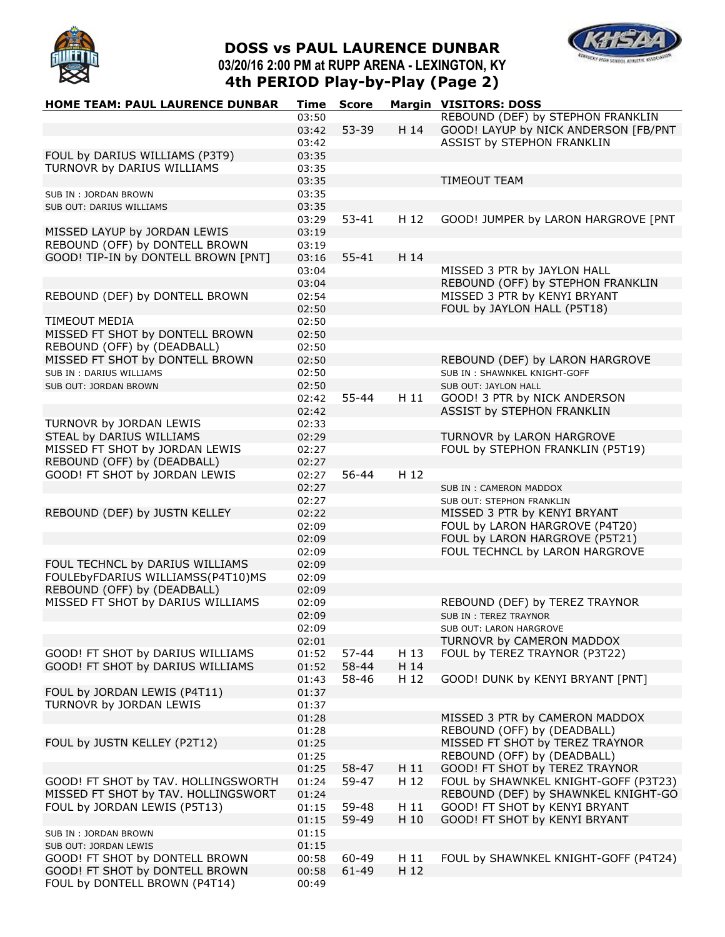

# **DOSS vs PAUL LAURENCE DUNBAR 03/20/16 2:00 PM at RUPP ARENA - LEXINGTON, KY 4th PERIOD Play-by-Play (Page 2)**



| HOME TEAM: PAUL LAURENCE DUNBAR                                  | Time           | <b>Score</b> |      | <b>Margin VISITORS: DOSS</b>                         |
|------------------------------------------------------------------|----------------|--------------|------|------------------------------------------------------|
|                                                                  | 03:50          |              |      | REBOUND (DEF) by STEPHON FRANKLIN                    |
|                                                                  | 03:42          | 53-39        | H 14 | GOOD! LAYUP by NICK ANDERSON [FB/PNT                 |
|                                                                  | 03:42          |              |      | ASSIST by STEPHON FRANKLIN                           |
| FOUL by DARIUS WILLIAMS (P3T9)                                   | 03:35          |              |      |                                                      |
| TURNOVR by DARIUS WILLIAMS                                       | 03:35          |              |      |                                                      |
|                                                                  | 03:35          |              |      | <b>TIMEOUT TEAM</b>                                  |
| SUB IN: JORDAN BROWN                                             | 03:35          |              |      |                                                      |
| SUB OUT: DARIUS WILLIAMS                                         | 03:35          |              |      |                                                      |
|                                                                  | 03:29          | $53 - 41$    | H 12 | GOOD! JUMPER by LARON HARGROVE [PNT                  |
| MISSED LAYUP by JORDAN LEWIS                                     | 03:19          |              |      |                                                      |
| REBOUND (OFF) by DONTELL BROWN                                   | 03:19          |              |      |                                                      |
| GOOD! TIP-IN by DONTELL BROWN [PNT]                              | 03:16          | $55 - 41$    | H 14 |                                                      |
|                                                                  | 03:04          |              |      | MISSED 3 PTR by JAYLON HALL                          |
|                                                                  | 03:04          |              |      | REBOUND (OFF) by STEPHON FRANKLIN                    |
| REBOUND (DEF) by DONTELL BROWN                                   | 02:54          |              |      | MISSED 3 PTR by KENYI BRYANT                         |
|                                                                  | 02:50          |              |      | FOUL by JAYLON HALL (P5T18)                          |
| <b>TIMEOUT MEDIA</b>                                             | 02:50          |              |      |                                                      |
| MISSED FT SHOT by DONTELL BROWN                                  | 02:50          |              |      |                                                      |
| REBOUND (OFF) by (DEADBALL)                                      | 02:50          |              |      |                                                      |
| MISSED FT SHOT by DONTELL BROWN                                  | 02:50          |              |      | REBOUND (DEF) by LARON HARGROVE                      |
| SUB IN : DARIUS WILLIAMS                                         | 02:50          |              |      | SUB IN: SHAWNKEL KNIGHT-GOFF                         |
| SUB OUT: JORDAN BROWN                                            | 02:50          |              |      | SUB OUT: JAYLON HALL                                 |
|                                                                  | 02:42          | 55-44        | H11  | GOOD! 3 PTR by NICK ANDERSON                         |
|                                                                  | 02:42          |              |      | ASSIST by STEPHON FRANKLIN                           |
| TURNOVR by JORDAN LEWIS                                          | 02:33          |              |      |                                                      |
| STEAL by DARIUS WILLIAMS                                         | 02:29          |              |      | TURNOVR by LARON HARGROVE                            |
| MISSED FT SHOT by JORDAN LEWIS                                   | 02:27          |              |      | FOUL by STEPHON FRANKLIN (P5T19)                     |
| REBOUND (OFF) by (DEADBALL)                                      | 02:27          |              |      |                                                      |
| GOOD! FT SHOT by JORDAN LEWIS                                    | 02:27          | 56-44        | H 12 |                                                      |
|                                                                  | 02:27          |              |      | SUB IN: CAMERON MADDOX                               |
|                                                                  | 02:27          |              |      | SUB OUT: STEPHON FRANKLIN                            |
| REBOUND (DEF) by JUSTN KELLEY                                    | 02:22          |              |      | MISSED 3 PTR by KENYI BRYANT                         |
|                                                                  | 02:09          |              |      | FOUL by LARON HARGROVE (P4T20)                       |
|                                                                  | 02:09          |              |      | FOUL by LARON HARGROVE (P5T21)                       |
|                                                                  | 02:09          |              |      | FOUL TECHNCL by LARON HARGROVE                       |
| FOUL TECHNCL by DARIUS WILLIAMS                                  | 02:09          |              |      |                                                      |
| FOULEbyFDARIUS WILLIAMSS(P4T10)MS                                | 02:09          |              |      |                                                      |
| REBOUND (OFF) by (DEADBALL)<br>MISSED FT SHOT by DARIUS WILLIAMS | 02:09          |              |      |                                                      |
|                                                                  | 02:09          |              |      | REBOUND (DEF) by TEREZ TRAYNOR                       |
|                                                                  | 02:09          |              |      | <b>SUB IN: TEREZ TRAYNOR</b>                         |
|                                                                  | 02:09          |              |      | SUB OUT: LARON HARGROVE<br>TURNOVR by CAMERON MADDOX |
| GOOD! FT SHOT by DARIUS WILLIAMS                                 | 02:01<br>01:52 | 57-44        | H 13 | FOUL by TEREZ TRAYNOR (P3T22)                        |
| GOOD! FT SHOT by DARIUS WILLIAMS                                 | 01:52          | 58-44        | H 14 |                                                      |
|                                                                  | 01:43          | 58-46        | H 12 | GOOD! DUNK by KENYI BRYANT [PNT]                     |
| FOUL by JORDAN LEWIS (P4T11)                                     | 01:37          |              |      |                                                      |
| TURNOVR by JORDAN LEWIS                                          | 01:37          |              |      |                                                      |
|                                                                  | 01:28          |              |      | MISSED 3 PTR by CAMERON MADDOX                       |
|                                                                  | 01:28          |              |      | REBOUND (OFF) by (DEADBALL)                          |
| FOUL by JUSTN KELLEY (P2T12)                                     | 01:25          |              |      | MISSED FT SHOT by TEREZ TRAYNOR                      |
|                                                                  | 01:25          |              |      | REBOUND (OFF) by (DEADBALL)                          |
|                                                                  | 01:25          | 58-47        | H 11 | GOOD! FT SHOT by TEREZ TRAYNOR                       |
| GOOD! FT SHOT by TAV. HOLLINGSWORTH                              | 01:24          | 59-47        | H 12 | FOUL by SHAWNKEL KNIGHT-GOFF (P3T23)                 |
| MISSED FT SHOT by TAV. HOLLINGSWORT                              | 01:24          |              |      | REBOUND (DEF) by SHAWNKEL KNIGHT-GO                  |
| FOUL by JORDAN LEWIS (P5T13)                                     | 01:15          | 59-48        | H 11 | GOOD! FT SHOT by KENYI BRYANT                        |
|                                                                  | 01:15          | 59-49        | H 10 | GOOD! FT SHOT by KENYI BRYANT                        |
| SUB IN : JORDAN BROWN                                            | 01:15          |              |      |                                                      |
| SUB OUT: JORDAN LEWIS                                            | 01:15          |              |      |                                                      |
| GOOD! FT SHOT by DONTELL BROWN                                   | 00:58          | 60-49        | H 11 | FOUL by SHAWNKEL KNIGHT-GOFF (P4T24)                 |
| GOOD! FT SHOT by DONTELL BROWN                                   | 00:58          | $61 - 49$    | H 12 |                                                      |
| FOUL by DONTELL BROWN (P4T14)                                    | 00:49          |              |      |                                                      |